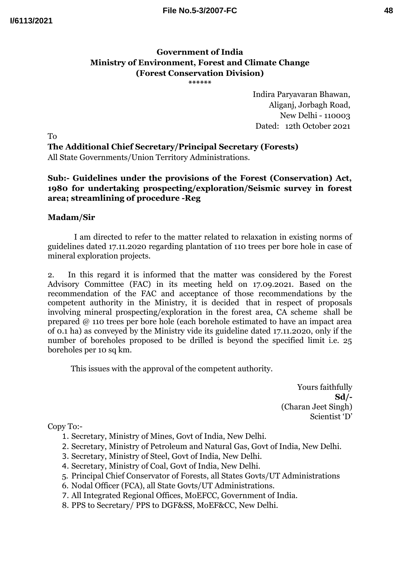## **Government of India Ministry of Environment, Forest and Climate Change (Forest Conservation Division)**

**\*\*\*\*\*\***

Indira Paryavaran Bhawan, Aliganj, Jorbagh Road, New Delhi - 110003 Dated: 12th October 2021

To **The Additional Chief Secretary/Principal Secretary (Forests)** All State Governments/Union Territory Administrations.

**Sub:- Guidelines under the provisions of the Forest (Conservation) Act, 1980 for undertaking prospecting/exploration/Seismic survey in forest area; streamlining of procedure -Reg**

## **Madam/Sir**

I am directed to refer to the matter related to relaxation in existing norms of guidelines dated 17.11.2020 regarding plantation of 110 trees per bore hole in case of mineral exploration projects.

2. In this regard it is informed that the matter was considered by the Forest Advisory Committee (FAC) in its meeting held on 17.09.2021. Based on the recommendation of the FAC and acceptance of those recommendations by the competent authority in the Ministry, it is decided that in respect of proposals involving mineral prospecting/exploration in the forest area, CA scheme shall be prepared @ 110 trees per bore hole (each borehole estimated to have an impact area of 0.1 ha) as conveyed by the Ministry vide its guideline dated 17.11.2020, only if the number of boreholes proposed to be drilled is beyond the specified limit i.e.  $25$ boreholes per 10 sq km.

This issues with the approval of the competent authority.

Yours faithfully **Sd/-** (Charan Jeet Singh) Scientist 'D'

Copy To:-

- 1. Secretary, Ministry of Mines, Govt of India, New Delhi.
- 2. Secretary, Ministry of Petroleum and Natural Gas, Govt of India, New Delhi.
- 3. Secretary, Ministry of Steel, Govt of India, New Delhi.
- 4. Secretary, Ministry of Coal, Govt of India, New Delhi.
- 5. Principal Chief Conservator of Forests, all States Govts/UT Administrations
- 6. Nodal Officer (FCA), all State Govts/UT Administrations.
- 7. All Integrated Regional Offices, MoEFCC, Government of India.
- 8. PPS to Secretary/ PPS to DGF&SS, MoEF&CC, New Delhi.